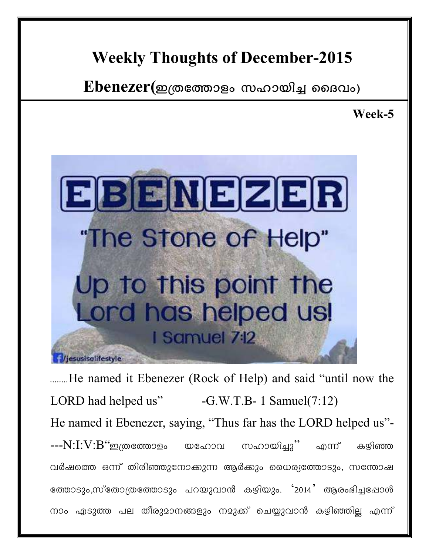## Weekly Thoughts of December-2015

 $Ebenezer(\n<sub>2</sub>(\n<sub>0</sub> \n<sub>0</sub> \n<sub>0</sub> \n<sub>0</sub>)$  ബായിച്ച ദൈവം)

Week-5



........He named it Ebenezer (Rock of Help) and said "until now the LORD had helped us" -G.W.T.B- 1 Samuel(7:12) He named it Ebenezer, saying, "Thus far has the LORD helped us"-  $--N:I:V:B$ ്ഇത്രത്തോളം യഹോവ സഹായിച്ചു'' എന്ന് കഴിഞ്ഞ വർഷത്തെ ഒന്ന് തിരിഞ്ഞുനോക്കുന്ന ആർക്കും ധൈര്യത്തോടും, സന്തോഷ ത്തോടും,സ്തോത്രത്തോടും പറയുവാൻ കഴിയും. '2014' ആരംഭിച്ചപ്പോൾ നാം എടുത്ത പല തീരുമാനങ്ങളും നമുക്ക് ചെയ്യുവാൻ കഴിഞ്ഞില്ല എന്ന്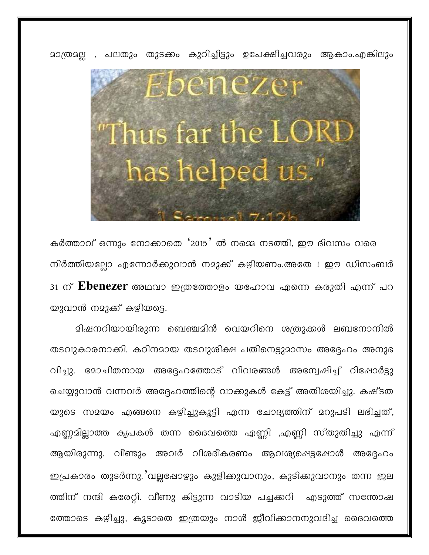

<u>മാത്രമല്ല , പലതും തുടക്കം കുറിച്ചിട്ടും ഉപേക്ഷിച്ചവരും ആകാം.എങ്കിലും </u>

കർത്താവ് ഒന്നും നോക്കാതെ '2015' ൽ നമ്മെ നടത്തി, ഈ ദിവസം വരെ നിർത്തിയല്ലോ എന്നോർക്കുവാൻ നമുക്ക് കഴിയണം.അതേ ! ഈ ഡിസംബർ 31 ന് **Ebenezer** അഥവാ ഇത്രത്തോളം യഹോവ എന്നെ കരുതി എന്ന് പറ യുവാൻ നമുക്ക് കഴിയട്ടെ.

മിഷനറിയായിരുന്ന ബെഞ്ചമിൻ വെയറിനെ ശത്രുക്കൾ ലബനോനിൽ തടവുകാരനാക്കി. കഠിനമായ തടവുശിക്ഷ പതിനെട്ടുമാസം അദ്ദേഹം അനുഭ വിച്ചു. മോചിതനായ അദ്ദേഹത്തോട് വിവരങ്ങൾ അന്വേഷിച്ച് റിപ്പോർട്ടു ചെയ്യുവാൻ വന്നവർ അദ്ദേഹത്തിന്റെ വാക്കുകൾ കേട്ട് അതിശയിച്ചു. കഷ്ടത യുടെ സമയം എങ്ങനെ കഴിച്ചുകൂട്ടി എന്ന ചോദ്യത്തിന് മറുപടി ലഭിച്ചത്, എണ്ണമില്ലാത്ത കൃപകൾ തന്ന ദൈവത്തെ എണ്ണി ,എണ്ണി സ്തുതിച്ചു എന്ന് ആയിരുന്നു. വീണ്ടും അവർ വിശദീകരണം ആവശ്യപ്പെട്ടപ്പോൾ അദ്ദേഹം ഇപ്രകാരം തുടർന്നു.'വല്ലഷോഴും കുളിക്കുവാനും, കുടിക്കുവാനും തന്ന ജല ത്തിന് നന്ദി കരേറ്റി. വീണു കിട്ടുന്ന വാടിയ പച്ചക്കറി എടുത്ത് സന്തോഷ ത്തോടെ കഴിച്ചു, കൂടാതെ ഇത്രയും നാൾ ജീവിക്കാനനുവദിച്ച ദൈവത്തെ